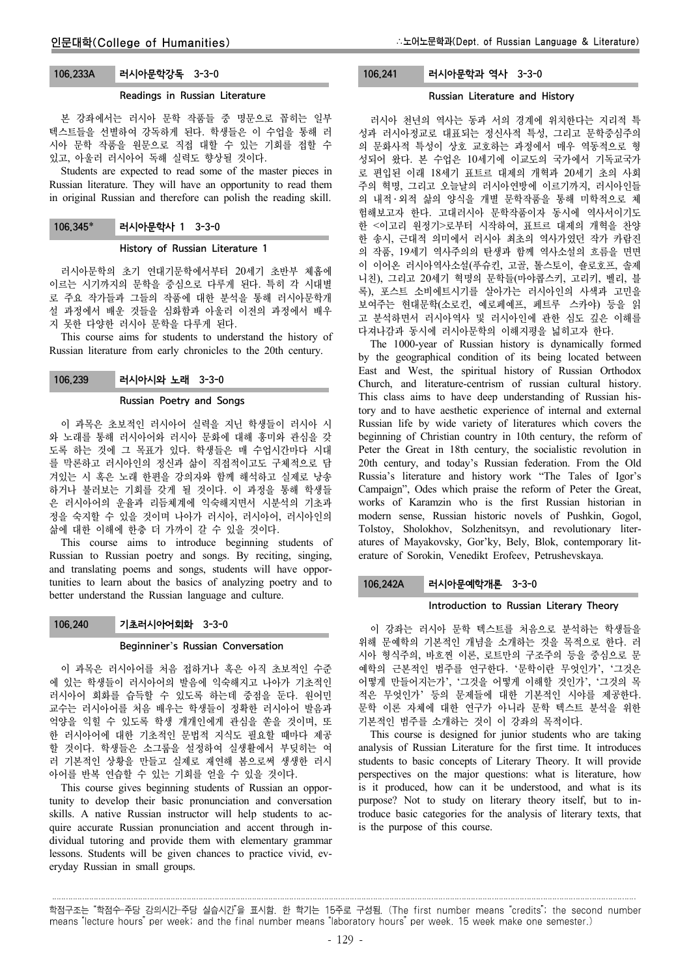# 106.233A 러시아문학강독 3-3-0

#### Readings in Russian Literature

본 강좌에서는 러시아 문학 작품들 중 명문으로 꼽히는 일부 텍스트들을 선별하여 강독하게 된다. 학생들은 이 수업을 통해 러 시아 문학 작품을 원문으로 직접 대할 수 있는 기회를 접할 수 있고, 아울러 러시아어 독해 실력도 향상될 것이다.

Students are expected to read some of the master pieces in Russian literature. They will have an opportunity to read them in original Russian and therefore can polish the reading skill.

106.345 러시아문학사 1 3-3-0

#### History of Russian Literature 1

러시아문학의 초기 연대기문학에서부터 20세기 초반부 체홉에 이르는 시기까지의 문학을 중심으로 다루게 된다. 특히 각 시대별 로 주요 작가들과 그들의 작품에 대한 분석을 통해 러시아문학개 설 과정에서 배운 것들을 심화함과 아울러 이전의 과정에서 배우 지 못한 다양한 러시아 문학을 다루게 된다.

This course aims for students to understand the history of Russian literature from early chronicles to the 20th century.

#### 106.239 러시아시와 노래 3-3-0

#### Russian Poetry and Songs

이 과목은 초보적인 러시아어 실력을 지닌 학생들이 러시아 시 와 노래를 통해 러시아어와 러시아 문화에 대해 흥미와 관심을 갖 도록 하는 것에 그 목표가 있다. 학생들은 매 수업시간마다 시대 를 막론하고 러시아인의 정신과 삶이 직접적이고도 구체적으로 담 겨있는 시 혹은 노래 한편을 강의자와 함께 해석하고 실제로 낭송 하거나 불러보는 기회를 갖게 될 것이다. 이 과정을 통해 학생들 은 러시아어의 운율과 리듬체계에 익숙해지면서 시분석의 기초과 정을 숙지할 수 있을 것이며 나아가 러시아, 러시아어, 러시아인의 삶에 대한 이해에 한층 더 가까이 갈 수 있을 것이다.

This course aims to introduce beginning students of Russian to Russian poetry and songs. By reciting, singing, and translating poems and songs, students will have opportunities to learn about the basics of analyzing poetry and to better understand the Russian language and culture.

#### 106.240 기초러시아어회화 3-3-0

#### Beginniner's Russian Conversation

이 과목은 러시아어를 처음 접하거나 혹은 아직 초보적인 수준 에 있는 학생들이 러시아어의 발음에 익숙해지고 나아가 기초적인 러시아어 회화를 습득할 수 있도록 하는데 중점을 둔다. 원어민 교수는 러시아어를 처음 배우는 학생들이 정확한 러시아어 발음과 억양을 익힐 수 있도록 학생 개개인에게 관심을 쏟을 것이며, 또 한 러시아어에 대한 기초적인 문법적 지식도 필요할 때마다 제공 할 것이다. 학생들은 소그룹을 설정하여 실생활에서 부딪히는 여 러 기본적인 상황을 만들고 실제로 재연해 봄으로써 생생한 러시 아어를 반복 연습할 수 있는 기회를 얻을 수 있을 것이다.

This course gives beginning students of Russian an opportunity to develop their basic pronunciation and conversation skills. A native Russian instructor will help students to acquire accurate Russian pronunciation and accent through individual tutoring and provide them with elementary grammar lessons. Students will be given chances to practice vivid, everyday Russian in small groups.

# 106.241 러시아문학과 역사 3-3-0

#### Russian Literature and History

러시아 천년의 역사는 동과 서의 경계에 위치한다는 지리적 특 성과 러시아정교로 대표되는 정신사적 특성, 그리고 문학중심주의 의 문화사적 특성이 상호 교호하는 과정에서 매우 역동적으로 형 성되어 왔다. 본 수업은 10세기에 이교도의 국가에서 기독교국가 로 편입된 이래 18세기 표트르 대제의 개혁과 20세기 초의 사회 주의 혁명, 그리고 오늘날의 러시아연방에 이르기까지, 러시아인들 의 내적 ․ 외적 삶의 양식을 개별 문학작품을 통해 미학적으로 체 험해보고자 한다. 고대러시아 문학작품이자 동시에 역사서이기도 한 <이고리 원정기>로부터 시작하여, 표트르 대제의 개혁을 찬양 한 송시, 근대적 의미에서 러시아 최초의 역사가였던 작가 카람진 의 작품, 19세기 역사주의의 탄생과 함께 역사소설의 흐름을 면면 이 이어온 러시아역사소설(푸슈킨, 고골, 톨스토이, 숄로호프, 솔제 니친), 그리고 20세기 혁명의 문학들(마야콥스키, 고리키, 벨리, 블 록), 포스트 소비에트시기를 살아가는 러시아인의 사색과 고민을 보여주는 현대문학(소로킨, 예로페예프, 페트루 스카야) 등을 읽 고 분석하면서 러시아역사 및 러시아인에 관한 심도 깊은 이해를 다져나감과 동시에 러시아문학의 이해지평을 넓히고자 한다.

The 1000-year of Russian history is dynamically formed by the geographical condition of its being located between East and West, the spiritual history of Russian Orthodox Church, and literature-centrism of russian cultural history. This class aims to have deep understanding of Russian history and to have aesthetic experience of internal and external Russian life by wide variety of literatures which covers the beginning of Christian country in 10th century, the reform of Peter the Great in 18th century, the socialistic revolution in 20th century, and today's Russian federation. From the Old Russia's literature and history work "The Tales of Igor's Campaign", Odes which praise the reform of Peter the Great, works of Karamzin who is the first Russian historian in modern sense, Russian historic novels of Pushkin, Gogol, Tolstoy, Sholokhov, Solzhenitsyn, and revolutionary literatures of Mayakovsky, Gor'ky, Bely, Blok, contemporary literature of Sorokin, Venedikt Erofeev, Petrushevskaya.

#### 106.242A 러시아문예학개론 3-3-0

#### Introduction to Russian Literary Theory

이 강좌는 러시아 문학 텍스트를 처음으로 분석하는 학생들을 위해 문예학의 기본적인 개념을 소개하는 것을 목적으로 한다. 러 시아 형식주의, 바흐찐 이론, 로트만의 구조주의 등을 중심으로 문 예학의 근본적인 범주를 연구한다. '문학이란 무엇인가', '그것은 어떻게 만들어지는가', '그것을 어떻게 이해할 것인가', '그것의 목 적은 무엇인가' 등의 문제들에 대한 기본적인 시야를 제공한다. 문학 이론 자체에 대한 연구가 아니라 문학 텍스트 분석을 위한 기본적인 범주를 소개하는 것이 이 강좌의 목적이다.

This course is designed for junior students who are taking analysis of Russian Literature for the first time. It introduces students to basic concepts of Literary Theory. It will provide perspectives on the major questions: what is literature, how is it produced, how can it be understood, and what is its purpose? Not to study on literary theory itself, but to introduce basic categories for the analysis of literary texts, that is the purpose of this course.

학점구조는 "학점수-주당 강의시간-주당 실습시간"을 표시함. 한 학기는 15주로 구성됨. (The first number means "credits"; the second number means "lecture hours" per week; and the final number means "laboratory hours" per week. 15 week make one semester.)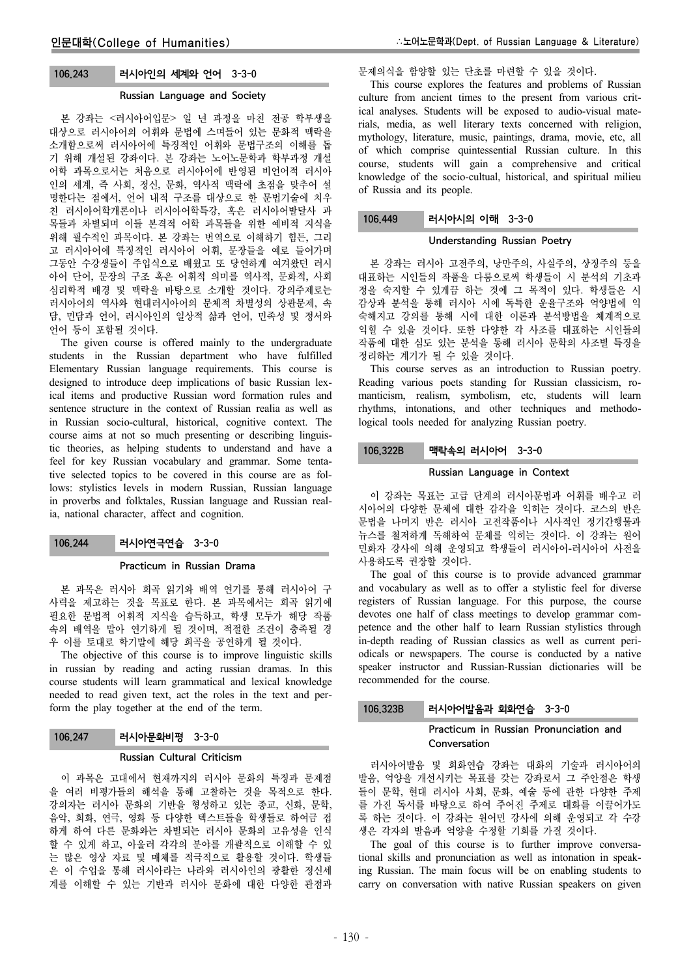# 106.243 러시아인의 세계와 언어 3-3-0

# Russian Language and Society

본 강좌는 <러시아어입문> 일 년 과정을 마친 전공 학부생을 대상으로 러시아어의 어휘와 문법에 스며들어 있는 문화적 맥락을 소개함으로써 러시아어에 특징적인 어휘와 문법구조의 이해를 돕 기 위해 개설된 강좌이다. 본 강좌는 노어노문학과 학부과정 개설 어학 과목으로서는 처음으로 러시아어에 반영된 비언어적 러시아 인의 세계, 즉 사회, 정신, 문화, 역사적 맥락에 초점을 맞추어 설 명한다는 점에서, 언어 내적 구조를 대상으로 한 문법기술에 치우 친 러시아어학개론이나 러시아어학특강, 혹은 러시아어발달사 과 목들과 차별되며 이들 본격적 어학 과목들을 위한 예비적 지식을 위해 필수적인 과목이다. 본 강좌는 번역으로 이해하기 힘든, 그리 고 러시아어에 특징적인 러시아어 어휘, 문장들을 예로 들어가며 그동안 수강생들이 주입식으로 배웠고 또 당연하게 여겨왔던 러시 아어 단어, 문장의 구조 혹은 어휘적 의미를 역사적, 문화적, 사회 심리학적 배경 및 맥락을 바탕으로 소개할 것이다. 강의주제로는 러시아어의 역사와 현대러시아어의 문체적 차별성의 상관문제, 속 담, 민담과 언어, 러시아인의 일상적 삶과 언어, 민족성 및 정서와 언어 등이 포함될 것이다.

The given course is offered mainly to the undergraduate students in the Russian department who have fulfilled Elementary Russian language requirements. This course is designed to introduce deep implications of basic Russian lexical items and productive Russian word formation rules and sentence structure in the context of Russian realia as well as in Russian socio-cultural, historical, cognitive context. The course aims at not so much presenting or describing linguistic theories, as helping students to understand and have a feel for key Russian vocabulary and grammar. Some tentative selected topics to be covered in this course are as follows: stylistics levels in modern Russian, Russian language in proverbs and folktales, Russian language and Russian realia, national character, affect and cognition.

## 106.244 러시아연극연습 3-3-0

#### Practicum in Russian Drama

본 과목은 러시아 희곡 읽기와 배역 연기를 통해 러시아어 구 사력을 제고하는 것을 목표로 한다. 본 과목에서는 희곡 읽기에 필요한 문법적 어휘적 지식을 습득하고, 학생 모두가 해당 작품 속의 배역을 맡아 연기하게 될 것이며, 적절한 조건이 충족될 경 우 이를 토대로 학기말에 해당 희곡을 공연하게 될 것이다.

The objective of this course is to improve linguistic skills in russian by reading and acting russian dramas. In this course students will learn grammatical and lexical knowledge needed to read given text, act the roles in the text and perform the play together at the end of the term.

# 106.247 러시아문화비평 3-3-0

## Russian Cultural Criticism

이 과목은 고대에서 현재까지의 러시아 문화의 특징과 문제점 을 여러 비평가들의 해석을 통해 고찰하는 것을 목적으로 한다. 강의자는 러시아 문화의 기반을 형성하고 있는 종교, 신화, 문학, 음악, 회화, 연극, 영화 등 다양한 텍스트들을 학생들로 하여금 접 하게 하여 다른 문화와는 차별되는 러시아 문화의 고유성을 인식 할 수 있게 하고, 아울러 각각의 분야를 개괄적으로 이해할 수 있 는 많은 영상 자료 및 매체를 적극적으로 활용할 것이다. 학생들 은 이 수업을 통해 러시아라는 나라와 러시아인의 광활한 정신세 계를 이해할 수 있는 기반과 러시아 문화에 대한 다양한 관점과

## 문제의식을 함양할 있는 단초를 마련할 수 있을 것이다.

This course explores the features and problems of Russian culture from ancient times to the present from various critical analyses. Students will be exposed to audio-visual materials, media, as well literary texts concerned with religion, mythology, literature, music, paintings, drama, movie, etc, all of which comprise quintessential Russian culture. In this course, students will gain a comprehensive and critical knowledge of the socio-cultual, historical, and spiritual milieu of Russia and its people.

## 106.449 러시아시의 이해 3-3-0

## Understanding Russian Poetry

본 강좌는 러시아 고전주의, 낭만주의, 사실주의, 상징주의 등을 대표하는 시인들의 작품을 다룸으로써 학생들이 시 분석의 기초과 정을 숙지할 수 있게끔 하는 것에 그 목적이 있다. 학생들은 시 감상과 분석을 통해 러시아 시에 독특한 운율구조와 억양법에 익 숙해지고 강의를 통해 시에 대한 이론과 분석방법을 체계적으로 익힐 수 있을 것이다. 또한 다양한 각 사조를 대표하는 시인들의 작품에 대한 심도 있는 분석을 통해 러시아 문학의 사조별 특징을 정리하는 계기가 될 수 있을 것이다.

This course serves as an introduction to Russian poetry. Reading various poets standing for Russian classicism, romanticism, realism, symbolism, etc, students will learn rhythms, intonations, and other techniques and methodological tools needed for analyzing Russian poetry.

# 106.322B 맥락속의 러시아어 3-3-0

## Russian Language in Context

이 강좌는 목표는 고급 단계의 러시아문법과 어휘를 배우고 러 시아어의 다양한 문체에 대한 감각을 익히는 것이다. 코스의 반은 문법을 나머지 반은 러시아 고전작품이나 시사적인 정기간행물과 뉴스를 철저하게 독해하여 문체를 익히는 것이다. 이 강좌는 원어 민화자 강사에 의해 운영되고 학생들이 러시아어-러시아어 사전을 사용하도록 권장할 것이다.

The goal of this course is to provide advanced grammar and vocabulary as well as to offer a stylistic feel for diverse registers of Russian language. For this purpose, the course devotes one half of class meetings to develop grammar competence and the other half to learn Russian stylistics through in-depth reading of Russian classics as well as current periodicals or newspapers. The course is conducted by a native speaker instructor and Russian-Russian dictionaries will be recommended for the course.

#### 106.323B 러시아어발음과 회화연습 3-3-0

## Practicum in Russian Pronunciation and Conversation

러시아어발음 및 회화연습 강좌는 대화의 기술과 러시아어의 발음, 억양을 개선시키는 목표를 갖는 강좌로서 그 주안점은 학생 들이 문학, 현대 러시아 사회, 문화, 예술 등에 관한 다양한 주제 를 가진 독서를 바탕으로 하여 주어진 주제로 대화를 이끌어가도 록 하는 것이다. 이 강좌는 원어민 강사에 의해 운영되고 각 수강 생은 각자의 발음과 억양을 수정할 기회를 가질 것이다.

The goal of this course is to further improve conversational skills and pronunciation as well as intonation in speaking Russian. The main focus will be on enabling students to carry on conversation with native Russian speakers on given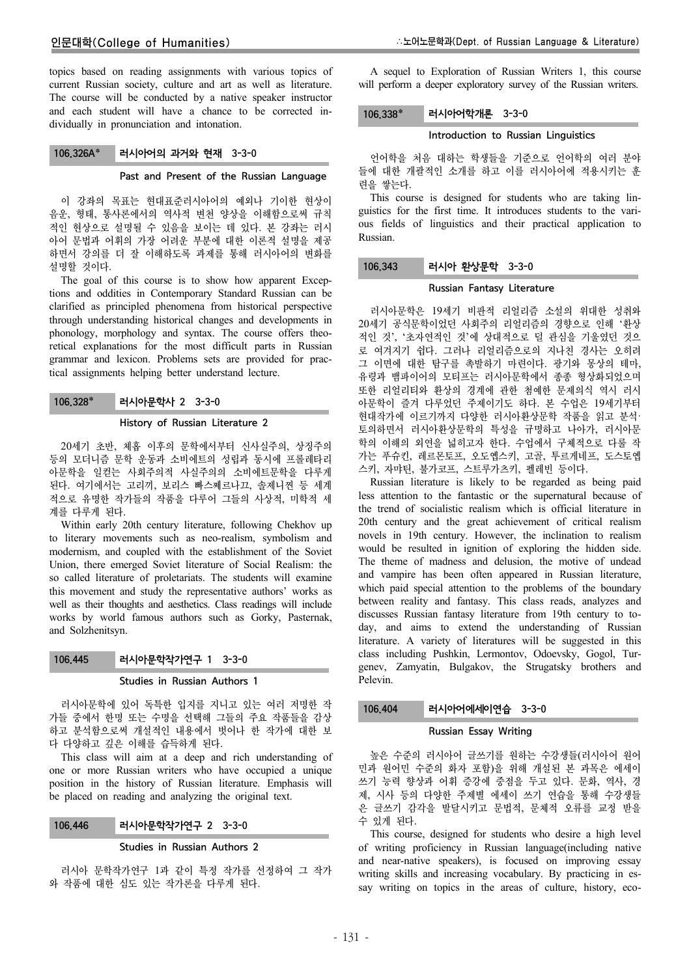topics based on reading assignments with various topics of current Russian society, culture and art as well as literature. The course will be conducted by a native speaker instructor and each student will have a chance to be corrected individually in pronunciation and intonation.

## 106.326A\* 러시아어의 과거와 현재 3-3-0

#### Past and Present of the Russian Language

이 강좌의 목표는 현대표준러시아어의 예외나 기이한 현상이 음운, 형태, 통사론에서의 역사적 변천 양상을 이해함으로써 규칙 적인 현상으로 설명될 수 있음을 보이는 데 있다. 본 강좌는 러시 아어 문법과 어휘의 가장 어려운 부분에 대한 이론적 설명을 제공 하면서 강의를 더 잘 이해하도록 과제를 통해 러시아어의 변화를 설명할 것이다.

The goal of this course is to show how apparent Exceptions and oddities in Contemporary Standard Russian can be clarified as principled phenomena from historical perspective through understanding historical changes and developments in phonology, morphology and syntax. The course offers theoretical explanations for the most difficult parts in Russian grammar and lexicon. Problems sets are provided for practical assignments helping better understand lecture.

## 106.328 러시아문학사 2 3-3-0

#### History of Russian Literature 2

20세기 초반, 체홉 이후의 문학에서부터 신사실주의, 상징주의 등의 모더니즘 문학 운동과 소비에트의 성립과 동시에 프롤레타리 아문학을 일컫는 사회주의적 사실주의의 소비에트문학을 다루게 된다. 여기에서는 고리끼, 보리스 빠스쩨르나끄, 솔제니찐 등 세계 적으로 유명한 작가들의 작품을 다루어 그들의 사상적, 미학적 세 계를 다루게 된다.

Within early 20th century literature, following Chekhov up to literary movements such as neo-realism, symbolism and modernism, and coupled with the establishment of the Soviet Union, there emerged Soviet literature of Social Realism: the so called literature of proletariats. The students will examine this movement and study the representative authors' works as well as their thoughts and aesthetics. Class readings will include works by world famous authors such as Gorky, Pasternak, and Solzhenitsyn.

#### 106.445 러시아문학작가연구 1 3-3-0

#### Studies in Russian Authors 1

러시아문학에 있어 독특한 입지를 지니고 있는 여러 저명한 작 가들 중에서 한명 또는 수명을 선택해 그들의 주요 작품들을 감상 하고 분석함으로써 개설적인 내용에서 벗어나 한 작가에 대한 보 다 다양하고 깊은 이해를 습득하게 된다.

This class will aim at a deep and rich understanding of one or more Russian writers who have occupied a unique position in the history of Russian literature. Emphasis will be placed on reading and analyzing the original text.

#### 106.446 러시아문학작가연구 2 3-3-0

#### Studies in Russian Authors 2

러시아 문학작가연구 1과 같이 특정 작가를 선정하여 그 작가 와 작품에 대한 심도 있는 작가론을 다루게 된다.

A sequel to Exploration of Russian Writers 1, this course will perform a deeper exploratory survey of the Russian writers.

## 106.338\* 러시아어학개론 3-3-0

## Introduction to Russian Linguistics

언어학을 처음 대하는 학생들을 기준으로 언어학의 여러 분야 들에 대한 개괄적인 소개를 하고 이를 러시아어에 적용시키는 훈 련을 쌓는다.

This course is designed for students who are taking linguistics for the first time. It introduces students to the various fields of linguistics and their practical application to Russian.

# 106.343 러시아 환상문학 3-3-0

## Russian Fantasy Literature

러시아문학은 19세기 비판적 리얼리즘 소설의 위대한 성취와 20세기 공식문학이었던 사회주의 리얼리즘의 경향으로 인해 '환상 적인 것', '초자연적인 것'에 상대적으로 덜 관심을 기울였던 것으 로 여겨지기 쉽다. 그러나 리얼리즘으로의 지나친 경사는 오히려 그 이면에 대한 탐구를 촉발하기 마련이다. 광기와 몽상의 테마, 유령과 뱀파이어의 모티프는 러시아문학에서 종종 형상화되었으며 또한 리얼리티와 환상의 경계에 관한 첨예한 문제의식 역시 러시 아문학이 즐겨 다루었던 주제이기도 하다. 본 수업은 19세기부터 현대작가에 이르기까지 다양한 러시아환상문학 작품을 읽고 분석· 토의하면서 러시아환상문학의 특성을 규명하고 나아가, 러시아문 학의 이해의 외연을 넓히고자 한다. 수업에서 구체적으로 다룰 작 가는 푸슈킨, 레르몬토프, 오도옙스키, 고골, 투르게네프, 도스토옙 스키, 자먀틴, 불가코프, 스트루가츠키, 펠레빈 등이다.

Russian literature is likely to be regarded as being paid less attention to the fantastic or the supernatural because of the trend of socialistic realism which is official literature in 20th century and the great achievement of critical realism novels in 19th century. However, the inclination to realism would be resulted in ignition of exploring the hidden side. The theme of madness and delusion, the motive of undead and vampire has been often appeared in Russian literature, which paid special attention to the problems of the boundary between reality and fantasy. This class reads, analyzes and discusses Russian fantasy literature from 19th century to today, and aims to extend the understanding of Russian literature. A variety of literatures will be suggested in this class including Pushkin, Lermontov, Odoevsky, Gogol, Turgenev, Zamyatin, Bulgakov, the Strugatsky brothers and Pelevin.

#### 106.404 러시아어에세이연습 3-3-0

#### Russian Essay Writing

높은 수준의 러시아어 글쓰기를 원하는 수강생들(러시아어 원어 민과 원어민 수준의 화자 포함)을 위해 개설된 본 과목은 에세이 쓰기 능력 향상과 어휘 증강에 중점을 두고 있다. 문화, 역사, 경 제, 시사 등의 다양한 주제별 에세이 쓰기 연습을 통해 수강생들 은 글쓰기 감각을 발달시키고 문법적, 문체적 오류를 교정 받을 수 있게 된다.

This course, designed for students who desire a high level of writing proficiency in Russian language(including native and near-native speakers), is focused on improving essay writing skills and increasing vocabulary. By practicing in essay writing on topics in the areas of culture, history, eco